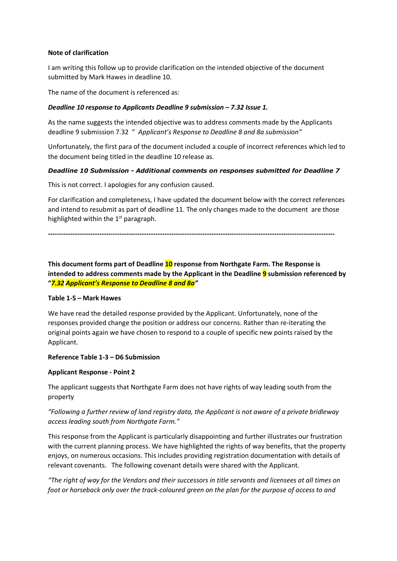### **Note of clarification**

I am writing this follow up to provide clarification on the intended objective of the document submitted by Mark Hawes in deadline 10.

The name of the document is referenced as:

### *Deadline 10 response to Applicants Deadline 9 submission – 7.32 Issue 1.*

As the name suggests the intended objective was to address comments made by the Applicants deadline 9 submission 7.32 " *Applicant's Response to Deadline 8 and 8a submission"*

Unfortunately, the first para of the document included a couple of incorrect references which led to the document being titled in the deadline 10 release as.

### *Deadline 10 Submission - Additional comments on responses submitted for Deadline 7*

This is not correct. I apologies for any confusion caused.

For clarification and completeness, I have updated the document below with the correct references and intend to resubmit as part of deadline 11. The only changes made to the document are those highlighted within the  $1<sup>st</sup>$  paragraph.

**--------------------------------------------------------------------------------------------------------------------------------**

**This document forms part of Deadline 10 response from Northgate Farm. The Response is intended to address comments made by the Applicant in the Deadline 9 submission referenced by "***7.32 Applicant's Response to Deadline 8 and 8a"*

#### **Table 1-5 – Mark Hawes**

We have read the detailed response provided by the Applicant. Unfortunately, none of the responses provided change the position or address our concerns. Rather than re-iterating the original points again we have chosen to respond to a couple of specific new points raised by the Applicant.

#### **Reference Table 1-3 – D6 Submission**

#### **Applicant Response - Point 2**

The applicant suggests that Northgate Farm does not have rights of way leading south from the property

# *"Following a further review of land registry data, the Applicant is not aware of a private bridleway access leading south from Northgate Farm."*

This response from the Applicant is particularly disappointing and further illustrates our frustration with the current planning process. We have highlighted the rights of way benefits, that the property enjoys, on numerous occasions. This includes providing registration documentation with details of relevant covenants. The following covenant details were shared with the Applicant.

*"The right of way for the Vendors and their successors in title servants and licensees at all times on foot or horseback only over the track-coloured green on the plan for the purpose of access to and*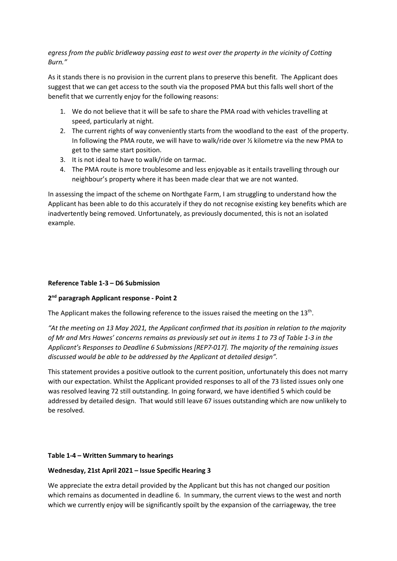*egress from the public bridleway passing east to west over the property in the vicinity of Cotting Burn."*

As it stands there is no provision in the current plans to preserve this benefit. The Applicant does suggest that we can get access to the south via the proposed PMA but this falls well short of the benefit that we currently enjoy for the following reasons:

- 1. We do not believe that it will be safe to share the PMA road with vehicles travelling at speed, particularly at night.
- 2. The current rights of way conveniently starts from the woodland to the east of the property. In following the PMA route, we will have to walk/ride over ½ kilometre via the new PMA to get to the same start position.
- 3. It is not ideal to have to walk/ride on tarmac.
- 4. The PMA route is more troublesome and less enjoyable as it entails travelling through our neighbour's property where it has been made clear that we are not wanted.

In assessing the impact of the scheme on Northgate Farm, I am struggling to understand how the Applicant has been able to do this accurately if they do not recognise existing key benefits which are inadvertently being removed. Unfortunately, as previously documented, this is not an isolated example.

# **Reference Table 1-3 – D6 Submission**

# **2nd paragraph Applicant response - Point 2**

The Applicant makes the following reference to the issues raised the meeting on the  $13<sup>th</sup>$ .

*"At the meeting on 13 May 2021, the Applicant confirmed that its position in relation to the majority of Mr and Mrs Hawes' concerns remains as previously set out in items 1 to 73 of Table 1-3 in the Applicant's Responses to Deadline 6 Submissions [REP7-017]. The majority of the remaining issues discussed would be able to be addressed by the Applicant at detailed design".*

This statement provides a positive outlook to the current position, unfortunately this does not marry with our expectation. Whilst the Applicant provided responses to all of the 73 listed issues only one was resolved leaving 72 still outstanding. In going forward, we have identified 5 which could be addressed by detailed design. That would still leave 67 issues outstanding which are now unlikely to be resolved.

# **Table 1-4 – Written Summary to hearings**

# **Wednesday, 21st April 2021 – Issue Specific Hearing 3**

We appreciate the extra detail provided by the Applicant but this has not changed our position which remains as documented in deadline 6. In summary, the current views to the west and north which we currently enjoy will be significantly spoilt by the expansion of the carriageway, the tree